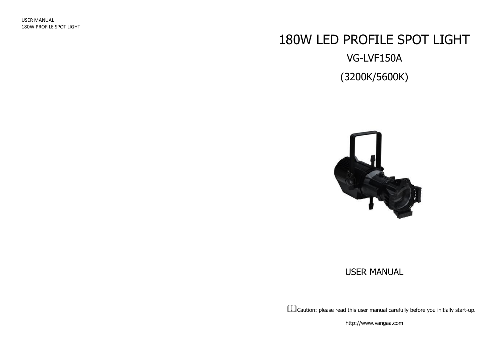# 180W LED PROFILE SPOT LIGHT VG-LVF150A (3200K/5600K)



### USER MANUAL

Caution: please read this user manual carefully before you initially start-up.

http://www.vangaa.com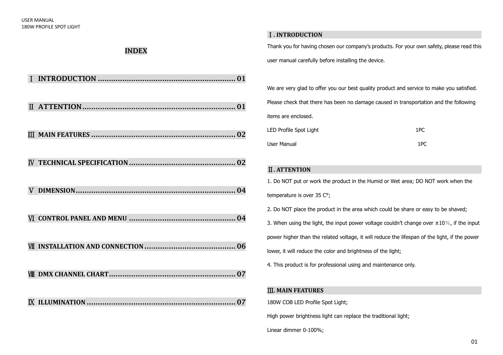#### Ⅰ**. INTRODUCTION**

**INDEX**

Thank you for having chosen our company's products. For your own safety, please read this user manual carefully before installing the device.

We are very glad to offer you our best quality product and service to make you satisfied. Please check that there has been no damage caused in transportation and the following items are enclosed. LED Profile Spot Light 1 and 1 and 1 and 1 and 1 and 1 and 1 and 1 and 1 and 1 and 1 and 1 and 1 and 1 and 1 and 1 and 1 and 1 and 1 and 1 and 1 and 1 and 1 and 1 and 1 and 1 and 1 and 1 and 1 and 1 and 1 and 1 and 1 and 1

| LLD FIUING SPUL LIGHT | ᆦᅛ  |
|-----------------------|-----|
| User Manual           | 1PC |

#### Ⅱ**. ATTENTION**

1. Do NOT put or work the product in the Humid or Wet area; DO NOT work when the temperature is over 35 C°;

2. Do NOT place the product in the area which could be share or easy to be shaved;

3. When using the light, the input power voltage couldn't change over  $\pm 10\%$ , if the input

power higher than the related voltage, it will reduce the lifespan of the light, if the power

lower, it will reduce the color and brightness of the light;

4. This product is for professional using and maintenance only.

#### Ⅲ**. MAIN FEATURES**

180W COB LED Profile Spot Light;

High power brightness light can replace the traditional light;

Linear dimmer 0-100%;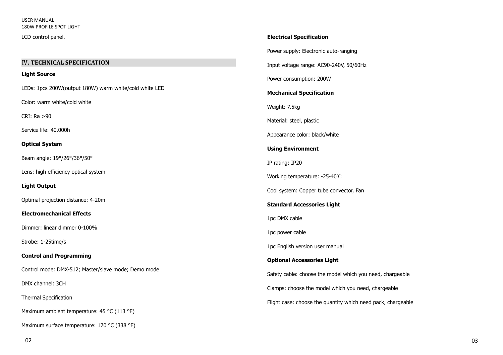LCD control panel.

#### Ⅳ**. TECHNICAL SPECIFICATION**

#### **Light Source**

LEDs: 1pcs 200W(output 180W) warm white/cold white LED

Color: warm white/cold white

CRI: Ra >90

Service life: 40,000h

#### **Optical System**

Beam angle: 19°/26°/36°/50°

Lens: high efficiency optical system

#### **Light Output**

Optimal projection distance: 4-20m

#### **Electromechanical Effects**

Dimmer: linear dimmer 0-100%

Strobe: 1-25time/s

#### **Control and Programming**

Control mode: DMX-512; Master/slave mode; Demo mode

DMX channel: 3CH

Thermal Specification

Maximum ambient temperature: 45 °C (113 °F)

Maximum surface temperature: 170 °C (338 °F)

# **Electrical Specification** Power supply: Electronic auto-ranging

Input voltage range: AC90-240V, 50/60Hz

Power consumption: 200W

#### **Mechanical Specification**

Weight: 7.5kg

Material: steel, plastic

Appearance color: black/white

#### **Using Environment**

IP rating: IP20

Working temperature: -25-40℃

Cool system: Copper tube convector, Fan

#### **Standard Accessories Light**

1pc DMX cable

1pc power cable

1pc English version user manual

#### **Optional Accessories Light**

Safety cable: choose the model which you need, chargeable Clamps: choose the model which you need, chargeable

Flight case: choose the quantity which need pack, chargeable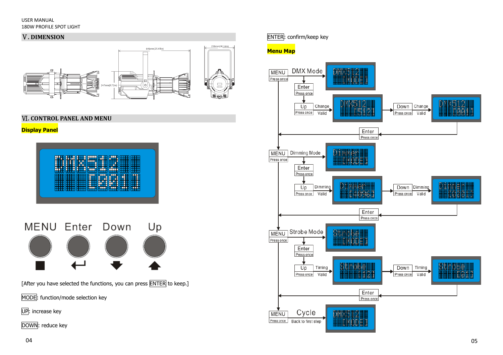#### USER MANUAL 180W PROFILE SPOT LIGHT

#### Ⅴ**. DIMENSION**



Ⅵ**. CONTROL PANEL AND MENU** 

#### **Display Panel**





[After you have selected the functions, you can press  $\boxed{\text{ENTER}}$  to keep.]

MODE: function/mode selection key

UP: increase key

DOWN: reduce key

ENTER: confirm/keep key

#### **Menu Map**

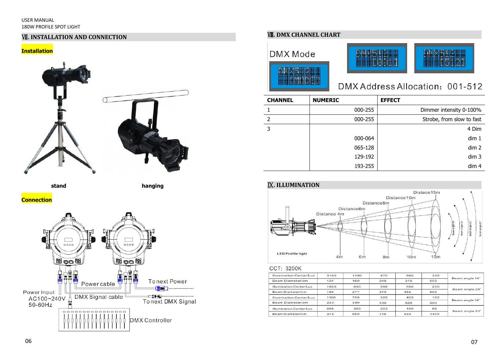#### USER MANUAL 180W PROFILE SPOT LIGHT

#### **WI. INSTALLATION AND CONNECTION**

#### **Installation**



 **stand hanging**

**Connection**



#### Ⅷ**. DMX CHANNEL CHART**





## DMX Address Allocation: 001-512

| <b>CHANNEL</b> | <b>NUMERIC</b> | <b>EFFECT</b>             |
|----------------|----------------|---------------------------|
|                | 000-255        | Dimmer intensity 0-100%   |
| $\mathcal{P}$  | 000-255        | Strobe, from slow to fast |
| 3              |                | 4 Dim                     |
|                | 000-064        | dim 1                     |
|                | 065-128        | dim 2                     |
|                | 129-192        | dim 3                     |
|                | 193-255        | dim 4                     |

曲曲曲





#### CCT: 3200K

| Illumination Center/Lux<br>3100<br>1390<br>870<br>680<br>335<br>Beam angle 19 <sup>*</sup><br>Beam Diameter/cm<br>124<br>248<br>315<br>503<br>180<br>Illumination Center/Lux<br>1850<br>830<br>250<br>698<br>590<br>Beam angle 26°<br>Beam Diameter/cm<br>277<br>693<br>185<br>370<br>462<br>756<br>1100<br>526<br>405<br>192<br>Illumination Center/Lux<br>Beam angle 36°<br>Beam Diameter/cm<br>380<br>220<br>620<br>900<br>430<br>86<br>360<br>Illumination Center/Lux<br>695<br>203<br>160<br>Beam angle 50°<br>Beam Diameter/cm<br>746<br>373<br>560<br>933<br>1400 |  |  |  |  |  |
|--------------------------------------------------------------------------------------------------------------------------------------------------------------------------------------------------------------------------------------------------------------------------------------------------------------------------------------------------------------------------------------------------------------------------------------------------------------------------------------------------------------------------------------------------------------------------|--|--|--|--|--|
|                                                                                                                                                                                                                                                                                                                                                                                                                                                                                                                                                                          |  |  |  |  |  |
|                                                                                                                                                                                                                                                                                                                                                                                                                                                                                                                                                                          |  |  |  |  |  |
|                                                                                                                                                                                                                                                                                                                                                                                                                                                                                                                                                                          |  |  |  |  |  |
|                                                                                                                                                                                                                                                                                                                                                                                                                                                                                                                                                                          |  |  |  |  |  |
|                                                                                                                                                                                                                                                                                                                                                                                                                                                                                                                                                                          |  |  |  |  |  |
|                                                                                                                                                                                                                                                                                                                                                                                                                                                                                                                                                                          |  |  |  |  |  |
|                                                                                                                                                                                                                                                                                                                                                                                                                                                                                                                                                                          |  |  |  |  |  |
|                                                                                                                                                                                                                                                                                                                                                                                                                                                                                                                                                                          |  |  |  |  |  |